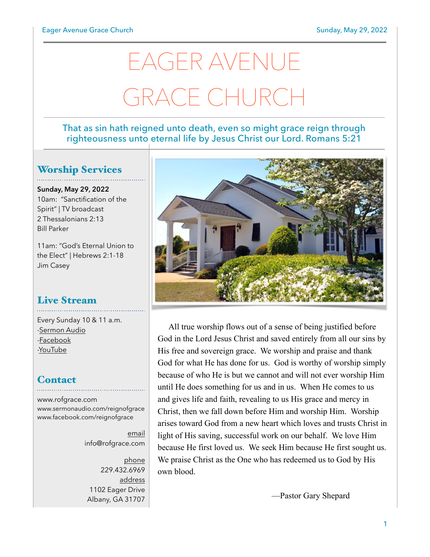# EAGER AVENUE GRACE CHURCI

#### That as sin hath reigned unto death, even so might grace reign through righteousness unto eternal life by Jesus Christ our Lord. Romans 5:21

#### Worship Services

**Sunday, May 29, 2022** 10am: "Sanctification of the Spirit" | TV broadcast 2 Thessalonians 2:13 Bill Parker

11am: "God's Eternal Union to the Elect" | Hebrews 2:1-18 Jim Casey

# Live Stream

Every Sunday 10 & 11 a.m. [-Sermon Audio](http://sermonaudio.com/reignofgrace) [-Facebook](http://facebook.com/eageravechurch) [-YouTube](http://youtube.com/channel/UCu_lTHCIUOK0cka9AjFV_5Q/live)

#### **Contact**

[www.rofgrace.com](http://www.rofgrace.com) [www.sermonaudio.com/reignofgrace](http://www.sermonaudio.com/reignofgrace) [www.facebook.com/reignofgrace](http://www.facebook.com/reignofgrace)

> email [info@rofgrace.com](mailto:info@rofgrace.com?subject=)

phone 229.432.6969 address 1102 Eager Drive Albany, GA 31707



All true worship flows out of a sense of being justified before God in the Lord Jesus Christ and saved entirely from all our sins by His free and sovereign grace. We worship and praise and thank God for what He has done for us. God is worthy of worship simply because of who He is but we cannot and will not ever worship Him until He does something for us and in us. When He comes to us and gives life and faith, revealing to us His grace and mercy in Christ, then we fall down before Him and worship Him. Worship arises toward God from a new heart which loves and trusts Christ in light of His saving, successful work on our behalf. We love Him because He first loved us. We seek Him because He first sought us. We praise Christ as the One who has redeemed us to God by His own blood.

—Pastor Gary Shepard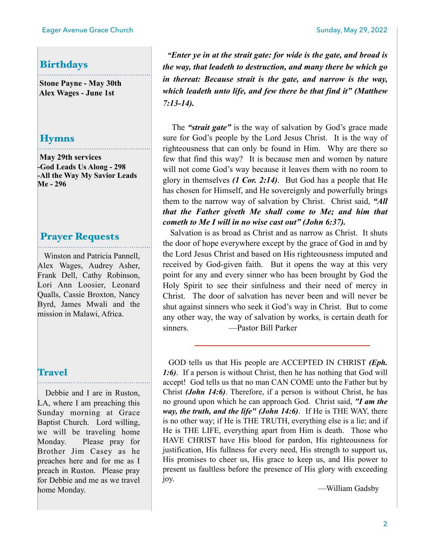#### Birthdays

 **Stone Payne - May 30th Alex Wages - June 1st**

#### Hymns

 **May 29th services -God Leads Us Along - 298 -All the Way My Savior Leads Me - 296**

#### Prayer Requests

 Winston and Patricia Pannell, Alex Wages, Audrey Asher, Frank Dell, Cathy Robinson, Lori Ann Loosier, Leonard Qualls, Cassie Broxton, Nancy Byrd, James Mwali and the mission in Malawi, Africa.

#### **Travel**

 Debbie and I are in Ruston, LA, where I am preaching this Sunday morning at Grace Baptist Church. Lord willing, we will be traveling home Monday. Please pray for Brother Jim Casey as he preaches here and for me as I preach in Ruston. Please pray for Debbie and me as we travel home Monday.

*"Enter ye in at the strait gate: for wide is the gate, and broad is the way, that leadeth to destruction, and many there be which go in thereat: Because strait is the gate, and narrow is the way, which leadeth unto life, and few there be that find it" (Matthew 7:13-14).* 

 The *"strait gate"* is the way of salvation by God's grace made sure for God's people by the Lord Jesus Christ. It is the way of righteousness that can only be found in Him. Why are there so few that find this way? It is because men and women by nature will not come God's way because it leaves them with no room to glory in themselves *(1 Cor. 2:14)*. But God has a people that He has chosen for Himself, and He sovereignly and powerfully brings them to the narrow way of salvation by Christ. Christ said, *"All that the Father giveth Me shall come to Me; and him that cometh to Me I will in no wise cast out" (John 6:37).*

 Salvation is as broad as Christ and as narrow as Christ. It shuts the door of hope everywhere except by the grace of God in and by the Lord Jesus Christ and based on His righteousness imputed and received by God-given faith. But it opens the way at this very point for any and every sinner who has been brought by God the Holy Spirit to see their sinfulness and their need of mercy in Christ. The door of salvation has never been and will never be shut against sinners who seek it God's way in Christ. But to come any other way, the way of salvation by works, is certain death for sinners. —Pastor Bill Parker

GOD tells us that His people are ACCEPTED IN CHRIST *(Eph. 1:6)*. If a person is without Christ, then he has nothing that God will accept! God tells us that no man CAN COME unto the Father but by Christ *(John 14:6)*. Therefore, if a person is without Christ, he has no ground upon which he can approach God. Christ said, *"I am the way, the truth, and the life" (John 14:6)*. If He is THE WAY, there is no other way; if He is THE TRUTH, everything else is a lie; and if He is THE LIFE, everything apart from Him is death. Those who HAVE CHRIST have His blood for pardon, His righteousness for justification, His fullness for every need, His strength to support us, His promises to cheer us, His grace to keep us, and His power to present us faultless before the presence of His glory with exceeding joy.

—William Gadsby